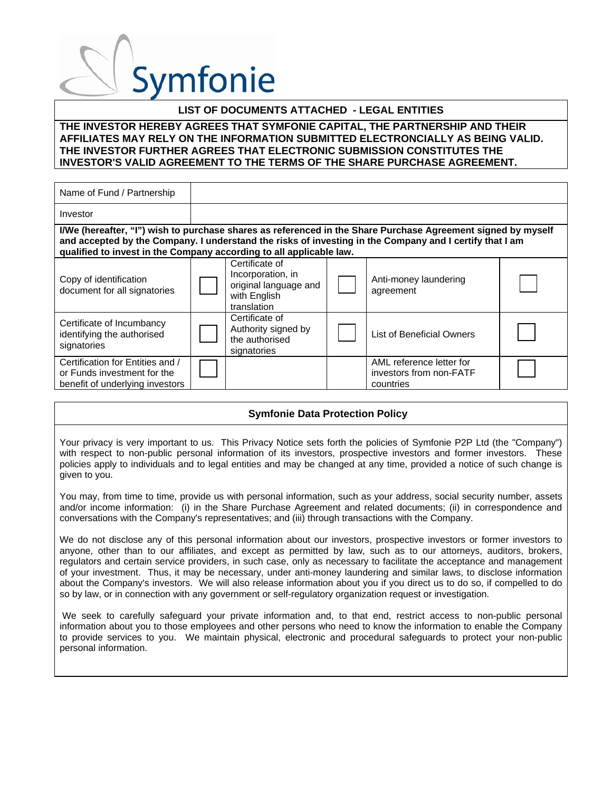### **LIST OF DOCUMENTS ATTACHED - LEGAL ENTITIES**

### **THE INVESTOR HEREBY AGREES THAT SYMFONIE CAPITAL, THE PARTNERSHIP AND THEIR AFFILIATES MAY RELY ON THE INFORMATION SUBMITTED ELECTRONCIALLY AS BEING VALID. THE INVESTOR FURTHER AGREES THAT ELECTRONIC SUBMISSION CONSTITUTES THE INVESTOR'S VALID AGREEMENT TO THE TERMS OF THE SHARE PURCHASE AGREEMENT.**

| Name of Fund / Partnership                                                                         |                                                                                             |                                                                                                                                                                                                                         |  |
|----------------------------------------------------------------------------------------------------|---------------------------------------------------------------------------------------------|-------------------------------------------------------------------------------------------------------------------------------------------------------------------------------------------------------------------------|--|
| Investor                                                                                           |                                                                                             |                                                                                                                                                                                                                         |  |
| qualified to invest in the Company according to all applicable law.                                |                                                                                             | I/We (hereafter, "I") wish to purchase shares as referenced in the Share Purchase Agreement signed by myself<br>and accepted by the Company. I understand the risks of investing in the Company and I certify that I am |  |
| Copy of identification<br>document for all signatories                                             | Certificate of<br>Incorporation, in<br>original language and<br>with English<br>translation | Anti-money laundering<br>agreement                                                                                                                                                                                      |  |
| Certificate of Incumbancy<br>identifying the authorised<br>signatories                             | Certificate of<br>Authority signed by<br>the authorised<br>signatories                      | List of Beneficial Owners                                                                                                                                                                                               |  |
| Certification for Entities and /<br>or Funds investment for the<br>benefit of underlying investors |                                                                                             | AML reference letter for<br>investors from non-FATF<br>countries                                                                                                                                                        |  |

### **Symfonie Data Protection Policy**

Your privacy is very important to us. This Privacy Notice sets forth the policies of Symfonie P2P Ltd (the "Company") with respect to non-public personal information of its investors, prospective investors and former investors. These policies apply to individuals and to legal entities and may be changed at any time, provided a notice of such change is given to you.

You may, from time to time, provide us with personal information, such as your address, social security number, assets and/or income information: (i) in the Share Purchase Agreement and related documents; (ii) in correspondence and conversations with the Company's representatives; and (iii) through transactions with the Company.

We do not disclose any of this personal information about our investors, prospective investors or former investors to anyone, other than to our affiliates, and except as permitted by law, such as to our attorneys, auditors, brokers, regulators and certain service providers, in such case, only as necessary to facilitate the acceptance and management of your investment. Thus, it may be necessary, under anti-money laundering and similar laws, to disclose information about the Company's investors. We will also release information about you if you direct us to do so, if compelled to do so by law, or in connection with any government or self-regulatory organization request or investigation.

 We seek to carefully safeguard your private information and, to that end, restrict access to non-public personal information about you to those employees and other persons who need to know the information to enable the Company to provide services to you. We maintain physical, electronic and procedural safeguards to protect your non-public personal information.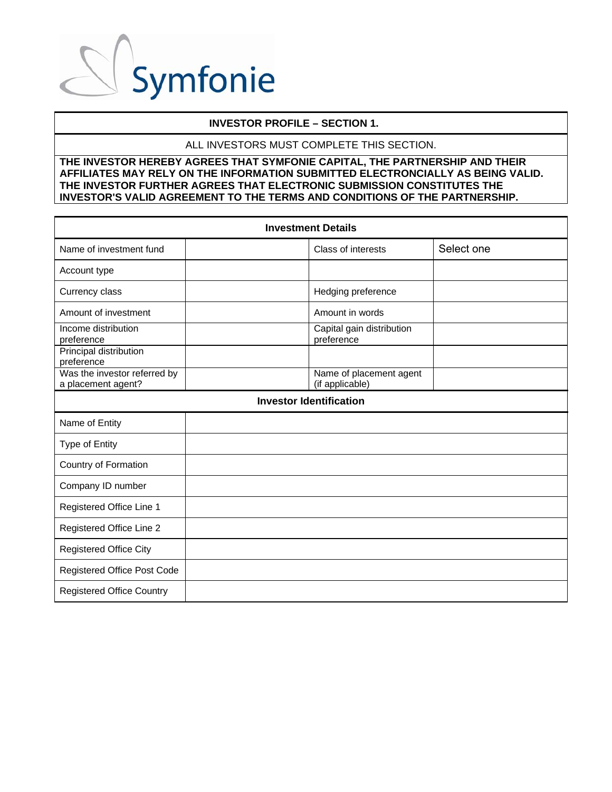

### **INVESTOR PROFILE – SECTION 1.**

### ALL INVESTORS MUST COMPLETE THIS SECTION.

| <b>Investment Details</b>                          |                                            |            |  |  |  |
|----------------------------------------------------|--------------------------------------------|------------|--|--|--|
| Name of investment fund                            | Class of interests                         | Select one |  |  |  |
| Account type                                       |                                            |            |  |  |  |
| Currency class                                     | Hedging preference                         |            |  |  |  |
| Amount of investment                               | Amount in words                            |            |  |  |  |
| Income distribution<br>preference                  | Capital gain distribution<br>preference    |            |  |  |  |
| Principal distribution<br>preference               |                                            |            |  |  |  |
| Was the investor referred by<br>a placement agent? | Name of placement agent<br>(if applicable) |            |  |  |  |
|                                                    | <b>Investor Identification</b>             |            |  |  |  |
| Name of Entity                                     |                                            |            |  |  |  |
| <b>Type of Entity</b>                              |                                            |            |  |  |  |
| Country of Formation                               |                                            |            |  |  |  |
| Company ID number                                  |                                            |            |  |  |  |
| Registered Office Line 1                           |                                            |            |  |  |  |
| Registered Office Line 2                           |                                            |            |  |  |  |
| <b>Registered Office City</b>                      |                                            |            |  |  |  |
| Registered Office Post Code                        |                                            |            |  |  |  |
| <b>Registered Office Country</b>                   |                                            |            |  |  |  |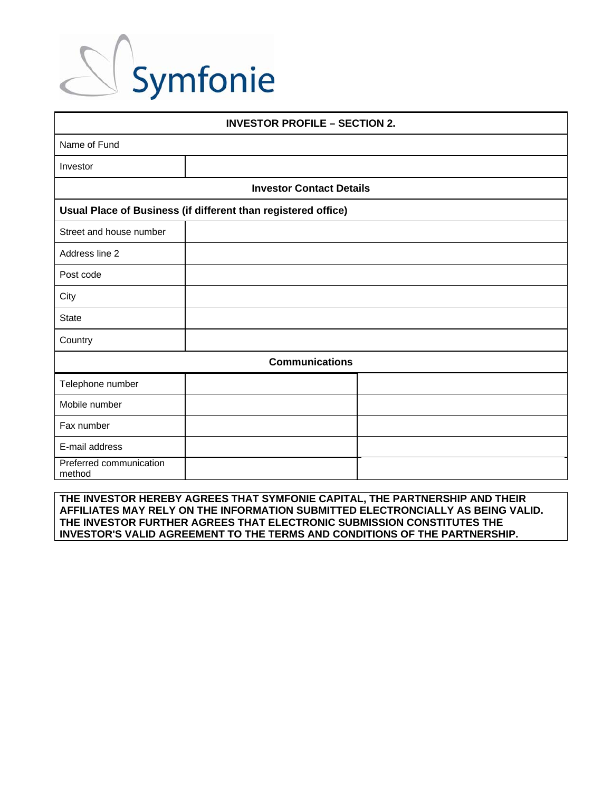| <b>INVESTOR PROFILE - SECTION 2.</b> |                                                               |  |  |  |
|--------------------------------------|---------------------------------------------------------------|--|--|--|
| Name of Fund                         |                                                               |  |  |  |
| Investor                             |                                                               |  |  |  |
|                                      | <b>Investor Contact Details</b>                               |  |  |  |
|                                      | Usual Place of Business (if different than registered office) |  |  |  |
| Street and house number              |                                                               |  |  |  |
| Address line 2                       |                                                               |  |  |  |
| Post code                            |                                                               |  |  |  |
| City                                 |                                                               |  |  |  |
| <b>State</b>                         |                                                               |  |  |  |
| Country                              |                                                               |  |  |  |
|                                      | <b>Communications</b>                                         |  |  |  |
| Telephone number                     |                                                               |  |  |  |
| Mobile number                        |                                                               |  |  |  |
| Fax number                           |                                                               |  |  |  |
| E-mail address                       |                                                               |  |  |  |
| Preferred communication<br>method    |                                                               |  |  |  |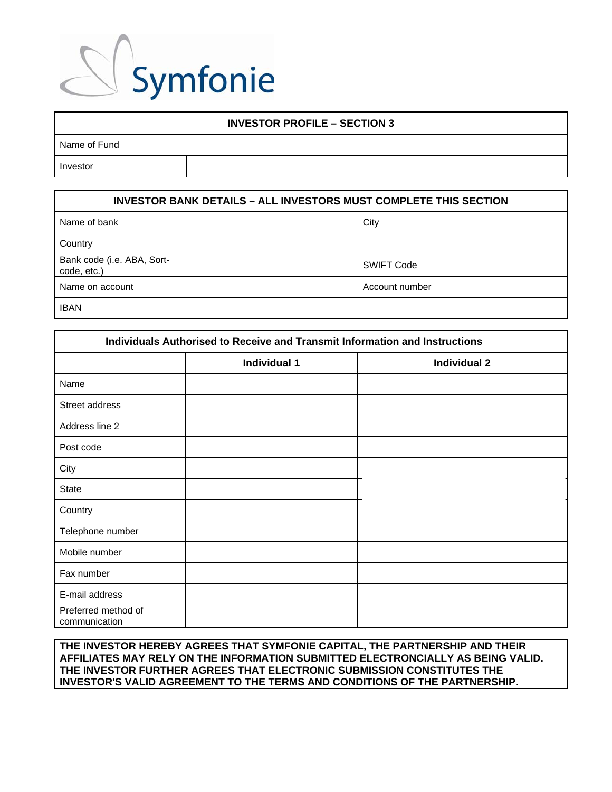

### **INVESTOR PROFILE – SECTION 3**

| Name of Fund |  |
|--------------|--|
| Investor     |  |

| <b>INVESTOR BANK DETAILS - ALL INVESTORS MUST COMPLETE THIS SECTION</b> |  |                   |  |  |
|-------------------------------------------------------------------------|--|-------------------|--|--|
| Name of bank                                                            |  | City              |  |  |
| Country                                                                 |  |                   |  |  |
| Bank code (i.e. ABA, Sort-<br>code, etc.)                               |  | <b>SWIFT Code</b> |  |  |
| Name on account                                                         |  | Account number    |  |  |
| <b>IBAN</b>                                                             |  |                   |  |  |

| Individuals Authorised to Receive and Transmit Information and Instructions |                     |                     |  |  |
|-----------------------------------------------------------------------------|---------------------|---------------------|--|--|
|                                                                             | <b>Individual 1</b> | <b>Individual 2</b> |  |  |
| Name                                                                        |                     |                     |  |  |
| Street address                                                              |                     |                     |  |  |
| Address line 2                                                              |                     |                     |  |  |
| Post code                                                                   |                     |                     |  |  |
| City                                                                        |                     |                     |  |  |
| <b>State</b>                                                                |                     |                     |  |  |
| Country                                                                     |                     |                     |  |  |
| Telephone number                                                            |                     |                     |  |  |
| Mobile number                                                               |                     |                     |  |  |
| Fax number                                                                  |                     |                     |  |  |
| E-mail address                                                              |                     |                     |  |  |
| Preferred method of<br>communication                                        |                     |                     |  |  |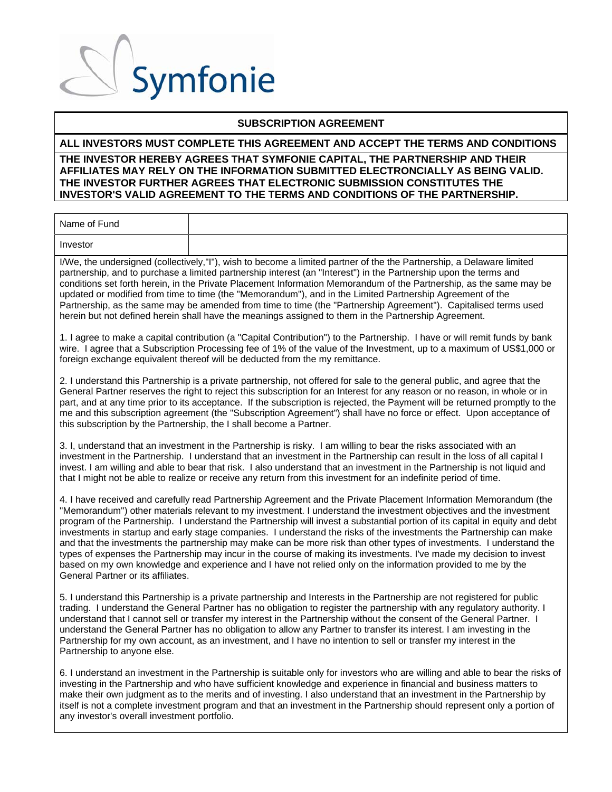### **SUBSCRIPTION AGREEMENT**

### **ALL INVESTORS MUST COMPLETE THIS AGREEMENT AND ACCEPT THE TERMS AND CONDITIONS**

### **THE INVESTOR HEREBY AGREES THAT SYMFONIE CAPITAL, THE PARTNERSHIP AND THEIR AFFILIATES MAY RELY ON THE INFORMATION SUBMITTED ELECTRONCIALLY AS BEING VALID. THE INVESTOR FURTHER AGREES THAT ELECTRONIC SUBMISSION CONSTITUTES THE INVESTOR'S VALID AGREEMENT TO THE TERMS AND CONDITIONS OF THE PARTNERSHIP.**

| Name of Fund |  |
|--------------|--|
| Investor     |  |

I/We, the undersigned (collectively,"I"), wish to become a limited partner of the the Partnership, a Delaware limited partnership, and to purchase a limited partnership interest (an "Interest") in the Partnership upon the terms and conditions set forth herein, in the Private Placement Information Memorandum of the Partnership, as the same may be updated or modified from time to time (the "Memorandum"), and in the Limited Partnership Agreement of the Partnership, as the same may be amended from time to time (the "Partnership Agreement"). Capitalised terms used herein but not defined herein shall have the meanings assigned to them in the Partnership Agreement.

1. I agree to make a capital contribution (a "Capital Contribution") to the Partnership. I have or will remit funds by bank wire. I agree that a Subscription Processing fee of 1% of the value of the Investment, up to a maximum of US\$1,000 or foreign exchange equivalent thereof will be deducted from the my remittance.

2. I understand this Partnership is a private partnership, not offered for sale to the general public, and agree that the General Partner reserves the right to reject this subscription for an Interest for any reason or no reason, in whole or in part, and at any time prior to its acceptance. If the subscription is rejected, the Payment will be returned promptly to the me and this subscription agreement (the "Subscription Agreement") shall have no force or effect. Upon acceptance of this subscription by the Partnership, the I shall become a Partner.

3. I, understand that an investment in the Partnership is risky. I am willing to bear the risks associated with an investment in the Partnership. I understand that an investment in the Partnership can result in the loss of all capital I invest. I am willing and able to bear that risk. I also understand that an investment in the Partnership is not liquid and that I might not be able to realize or receive any return from this investment for an indefinite period of time.

4. I have received and carefully read Partnership Agreement and the Private Placement Information Memorandum (the "Memorandum") other materials relevant to my investment. I understand the investment objectives and the investment program of the Partnership. I understand the Partnership will invest a substantial portion of its capital in equity and debt investments in startup and early stage companies. I understand the risks of the investments the Partnership can make and that the investments the partnership may make can be more risk than other types of investments. I understand the types of expenses the Partnership may incur in the course of making its investments. I've made my decision to invest based on my own knowledge and experience and I have not relied only on the information provided to me by the General Partner or its affiliates.

5. I understand this Partnership is a private partnership and Interests in the Partnership are not registered for public trading. I understand the General Partner has no obligation to register the partnership with any regulatory authority. I understand that I cannot sell or transfer my interest in the Partnership without the consent of the General Partner. I understand the General Partner has no obligation to allow any Partner to transfer its interest. I am investing in the Partnership for my own account, as an investment, and I have no intention to sell or transfer my interest in the Partnership to anyone else.

6. I understand an investment in the Partnership is suitable only for investors who are willing and able to bear the risks of investing in the Partnership and who have sufficient knowledge and experience in financial and business matters to make their own judgment as to the merits and of investing. I also understand that an investment in the Partnership by itself is not a complete investment program and that an investment in the Partnership should represent only a portion of any investor's overall investment portfolio.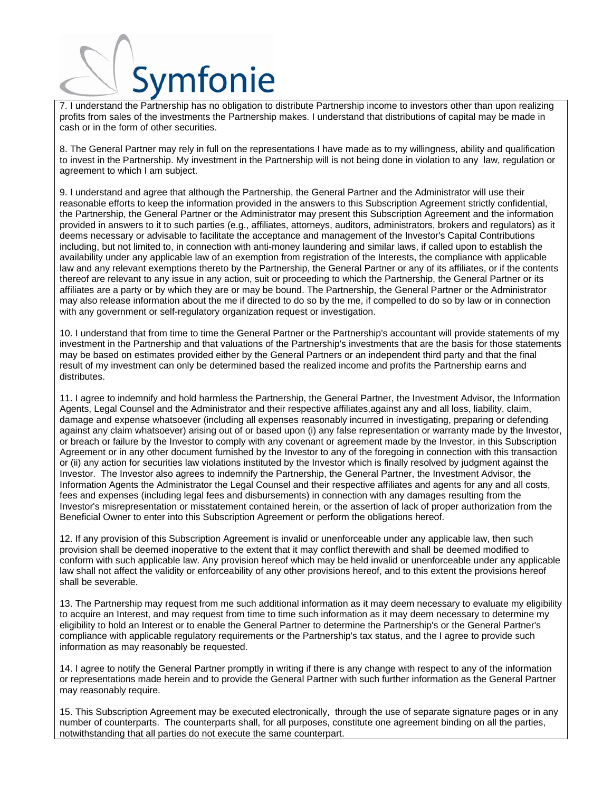

7. I understand the Partnership has no obligation to distribute Partnership income to investors other than upon realizing profits from sales of the investments the Partnership makes. I understand that distributions of capital may be made in cash or in the form of other securities.

8. The General Partner may rely in full on the representations I have made as to my willingness, ability and qualification to invest in the Partnership. My investment in the Partnership will is not being done in violation to any law, regulation or agreement to which I am subject.

9. I understand and agree that although the Partnership, the General Partner and the Administrator will use their reasonable efforts to keep the information provided in the answers to this Subscription Agreement strictly confidential, the Partnership, the General Partner or the Administrator may present this Subscription Agreement and the information provided in answers to it to such parties (e.g., affiliates, attorneys, auditors, administrators, brokers and regulators) as it deems necessary or advisable to facilitate the acceptance and management of the Investor's Capital Contributions including, but not limited to, in connection with anti-money laundering and similar laws, if called upon to establish the availability under any applicable law of an exemption from registration of the Interests, the compliance with applicable law and any relevant exemptions thereto by the Partnership, the General Partner or any of its affiliates, or if the contents thereof are relevant to any issue in any action, suit or proceeding to which the Partnership, the General Partner or its affiliates are a party or by which they are or may be bound. The Partnership, the General Partner or the Administrator may also release information about the me if directed to do so by the me, if compelled to do so by law or in connection with any government or self-regulatory organization request or investigation.

10. I understand that from time to time the General Partner or the Partnership's accountant will provide statements of my investment in the Partnership and that valuations of the Partnership's investments that are the basis for those statements may be based on estimates provided either by the General Partners or an independent third party and that the final result of my investment can only be determined based the realized income and profits the Partnership earns and distributes.

11. I agree to indemnify and hold harmless the Partnership, the General Partner, the Investment Advisor, the Information Agents, Legal Counsel and the Administrator and their respective affiliates,against any and all loss, liability, claim, damage and expense whatsoever (including all expenses reasonably incurred in investigating, preparing or defending against any claim whatsoever) arising out of or based upon (i) any false representation or warranty made by the Investor, or breach or failure by the Investor to comply with any covenant or agreement made by the Investor, in this Subscription Agreement or in any other document furnished by the Investor to any of the foregoing in connection with this transaction or (ii) any action for securities law violations instituted by the Investor which is finally resolved by judgment against the Investor. The Investor also agrees to indemnify the Partnership, the General Partner, the Investment Advisor, the Information Agents the Administrator the Legal Counsel and their respective affiliates and agents for any and all costs, fees and expenses (including legal fees and disbursements) in connection with any damages resulting from the Investor's misrepresentation or misstatement contained herein, or the assertion of lack of proper authorization from the Beneficial Owner to enter into this Subscription Agreement or perform the obligations hereof.

12. If any provision of this Subscription Agreement is invalid or unenforceable under any applicable law, then such provision shall be deemed inoperative to the extent that it may conflict therewith and shall be deemed modified to conform with such applicable law. Any provision hereof which may be held invalid or unenforceable under any applicable law shall not affect the validity or enforceability of any other provisions hereof, and to this extent the provisions hereof shall be severable.

13. The Partnership may request from me such additional information as it may deem necessary to evaluate my eligibility to acquire an Interest, and may request from time to time such information as it may deem necessary to determine my eligibility to hold an Interest or to enable the General Partner to determine the Partnership's or the General Partner's compliance with applicable regulatory requirements or the Partnership's tax status, and the I agree to provide such information as may reasonably be requested.

14. I agree to notify the General Partner promptly in writing if there is any change with respect to any of the information or representations made herein and to provide the General Partner with such further information as the General Partner may reasonably require.

15. This Subscription Agreement may be executed electronically, through the use of separate signature pages or in any number of counterparts. The counterparts shall, for all purposes, constitute one agreement binding on all the parties, notwithstanding that all parties do not execute the same counterpart.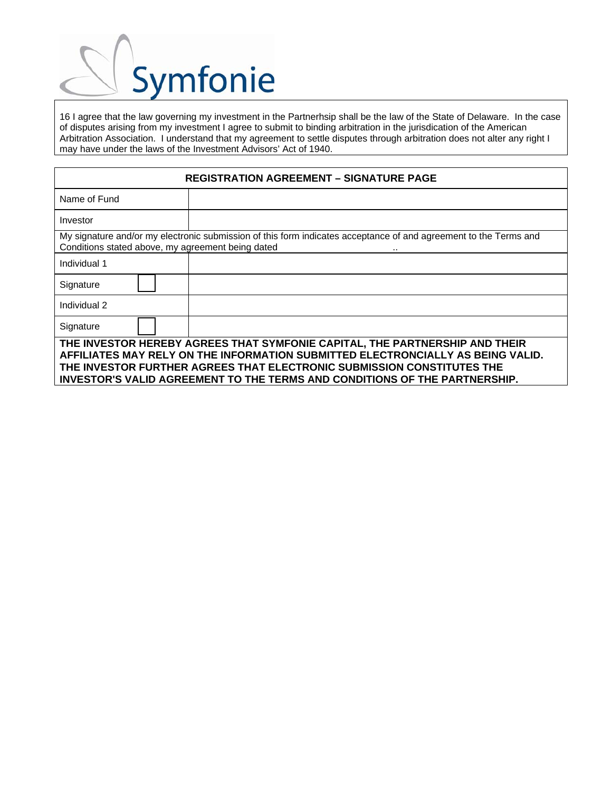

16 I agree that the law governing my investment in the Partnerhsip shall be the law of the State of Delaware. In the case of disputes arising from my investment I agree to submit to binding arbitration in the jurisdication of the American Arbitration Association. I understand that my agreement to settle disputes through arbitration does not alter any right I may have under the laws of the Investment Advisors' Act of 1940.

| <b>REGISTRATION AGREEMENT - SIGNATURE PAGE</b>                                                                                                                                                                                                                                                                         |                                                                                                                  |  |  |  |
|------------------------------------------------------------------------------------------------------------------------------------------------------------------------------------------------------------------------------------------------------------------------------------------------------------------------|------------------------------------------------------------------------------------------------------------------|--|--|--|
| Name of Fund                                                                                                                                                                                                                                                                                                           |                                                                                                                  |  |  |  |
| Investor                                                                                                                                                                                                                                                                                                               |                                                                                                                  |  |  |  |
| Conditions stated above, my agreement being dated                                                                                                                                                                                                                                                                      | My signature and/or my electronic submission of this form indicates acceptance of and agreement to the Terms and |  |  |  |
| Individual 1                                                                                                                                                                                                                                                                                                           |                                                                                                                  |  |  |  |
| Signature                                                                                                                                                                                                                                                                                                              |                                                                                                                  |  |  |  |
| Individual 2                                                                                                                                                                                                                                                                                                           |                                                                                                                  |  |  |  |
| Signature                                                                                                                                                                                                                                                                                                              |                                                                                                                  |  |  |  |
| THE INVESTOR HEREBY AGREES THAT SYMFONIE CAPITAL, THE PARTNERSHIP AND THEIR<br>AFFILIATES MAY RELY ON THE INFORMATION SUBMITTED ELECTRONCIALLY AS BEING VALID.<br>THE INVESTOR FURTHER AGREES THAT ELECTRONIC SUBMISSION CONSTITUTES THE<br>INVESTOR'S VALID AGREEMENT TO THE TERMS AND CONDITIONS OF THE PARTNERSHIP. |                                                                                                                  |  |  |  |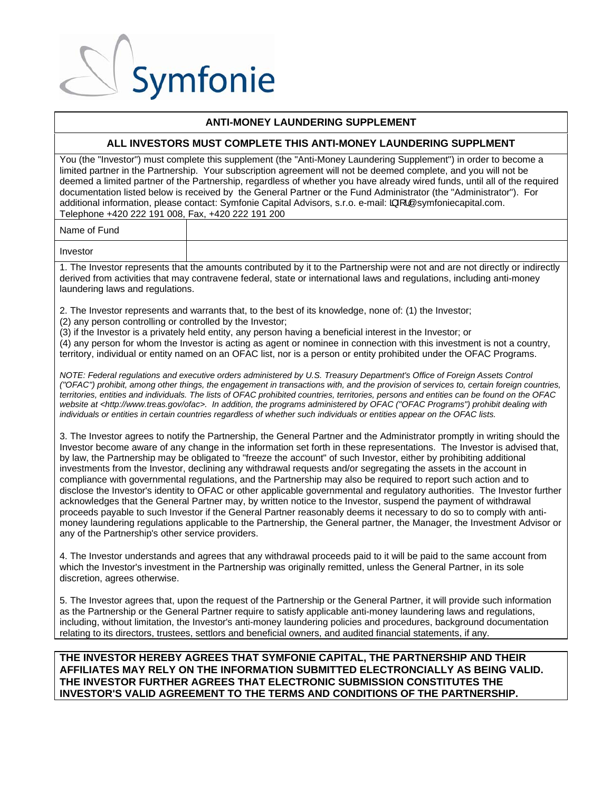### $\sqrt{2}$ Symfonie

### **ANTI-MONEY LAUNDERING SUPPLEMENT**

### **ALL INVESTORS MUST COMPLETE THIS ANTI-MONEY LAUNDERING SUPPLMENT**

You (the "Investor") must complete this supplement (the "Anti-Money Laundering Supplement") in order to become a limited partner in the Partnership. Your subscription agreement will not be deemed complete, and you will not be deemed a limited partner of the Partnership, regardless of whether you have already wired funds, until all of the required documentation listed below is received by the General Partner or the Fund Administrator (the "Administrator"). For additional information, please contact: Symfonie Capital Advisors, s.r.o. e-mail:  $\frac{3}{4}$  / @symfoniecapital.com. Telephone +420 222 191 008, Fax, +420 222 191 200

Name of Fund

Investor

1. The Investor represents that the amounts contributed by it to the Partnership were not and are not directly or indirectly derived from activities that may contravene federal, state or international laws and regulations, including anti-money laundering laws and regulations.

2. The Investor represents and warrants that, to the best of its knowledge, none of: (1) the Investor;

(2) any person controlling or controlled by the Investor;

(3) if the Investor is a privately held entity, any person having a beneficial interest in the Investor; or

(4) any person for whom the Investor is acting as agent or nominee in connection with this investment is not a country, territory, individual or entity named on an OFAC list, nor is a person or entity prohibited under the OFAC Programs.

*NOTE: Federal regulations and executive orders administered by U.S. Treasury Department's Office of Foreign Assets Control ("OFAC") prohibit, among other things, the engagement in transactions with, and the provision of services to, certain foreign countries, territories, entities and individuals. The lists of OFAC prohibited countries, territories, persons and entities can be found on the OFAC website at <http://www.treas.gov/ofac>. In addition, the programs administered by OFAC ("OFAC Programs") prohibit dealing with individuals or entities in certain countries regardless of whether such individuals or entities appear on the OFAC lists.* 

3. The Investor agrees to notify the Partnership, the General Partner and the Administrator promptly in writing should the Investor become aware of any change in the information set forth in these representations. The Investor is advised that, by law, the Partnership may be obligated to "freeze the account" of such Investor, either by prohibiting additional investments from the Investor, declining any withdrawal requests and/or segregating the assets in the account in compliance with governmental regulations, and the Partnership may also be required to report such action and to disclose the Investor's identity to OFAC or other applicable governmental and regulatory authorities. The Investor further acknowledges that the General Partner may, by written notice to the Investor, suspend the payment of withdrawal proceeds payable to such Investor if the General Partner reasonably deems it necessary to do so to comply with antimoney laundering regulations applicable to the Partnership, the General partner, the Manager, the Investment Advisor or any of the Partnership's other service providers.

4. The Investor understands and agrees that any withdrawal proceeds paid to it will be paid to the same account from which the Investor's investment in the Partnership was originally remitted, unless the General Partner, in its sole discretion, agrees otherwise.

5. The Investor agrees that, upon the request of the Partnership or the General Partner, it will provide such information as the Partnership or the General Partner require to satisfy applicable anti-money laundering laws and regulations, including, without limitation, the Investor's anti-money laundering policies and procedures, background documentation relating to its directors, trustees, settlors and beneficial owners, and audited financial statements, if any.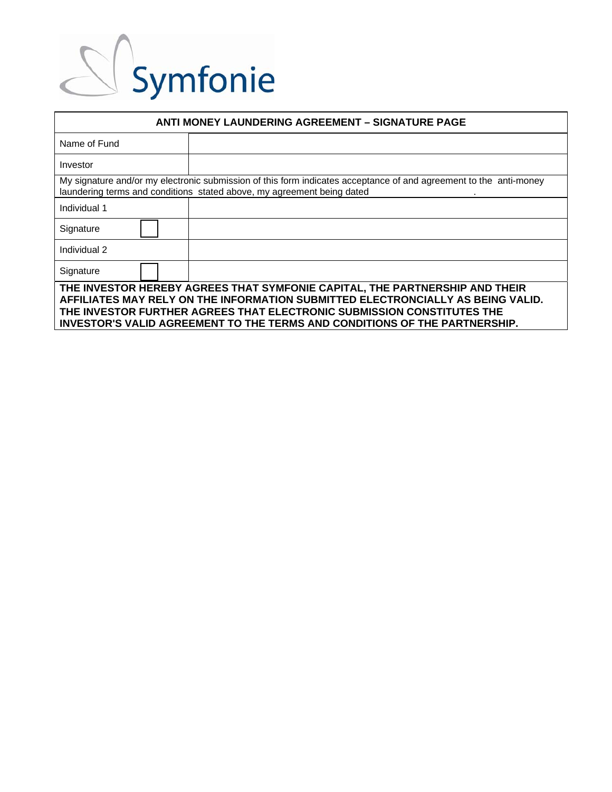| <b>ANTI MONEY LAUNDERING AGREEMENT - SIGNATURE PAGE</b>                                                                                                        |                                                                                                                                                                                             |  |  |  |
|----------------------------------------------------------------------------------------------------------------------------------------------------------------|---------------------------------------------------------------------------------------------------------------------------------------------------------------------------------------------|--|--|--|
| Name of Fund                                                                                                                                                   |                                                                                                                                                                                             |  |  |  |
| Investor                                                                                                                                                       |                                                                                                                                                                                             |  |  |  |
|                                                                                                                                                                | My signature and/or my electronic submission of this form indicates acceptance of and agreement to the anti-money<br>laundering terms and conditions stated above, my agreement being dated |  |  |  |
| Individual 1                                                                                                                                                   |                                                                                                                                                                                             |  |  |  |
| Signature                                                                                                                                                      |                                                                                                                                                                                             |  |  |  |
| Individual 2                                                                                                                                                   |                                                                                                                                                                                             |  |  |  |
| Signature                                                                                                                                                      |                                                                                                                                                                                             |  |  |  |
| THE INVESTOR HEREBY AGREES THAT SYMFONIE CAPITAL, THE PARTNERSHIP AND THEIR<br>AFFILIATES MAY RELY ON THE INFORMATION SUBMITTED ELECTRONCIALLY AS BEING VALID. |                                                                                                                                                                                             |  |  |  |
| THE INVESTOR FURTHER AGREES THAT ELECTRONIC SUBMISSION CONSTITUTES THE<br>INVESTOR'S VALID AGREEMENT TO THE TERMS AND CONDITIONS OF THE PARTNERSHIP.           |                                                                                                                                                                                             |  |  |  |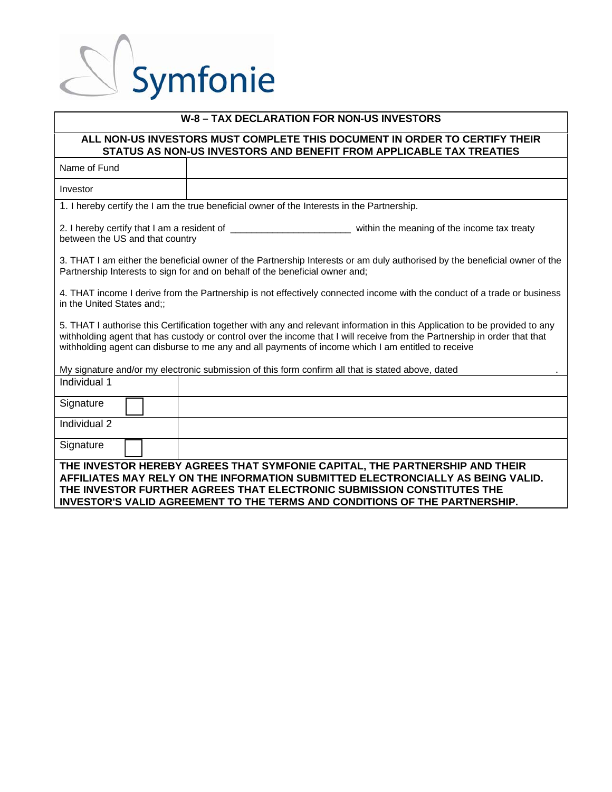| W-8 - TAX DECLARATION FOR NON-US INVESTORS                                                                                                        |                                                                                                                                                                                                                                                                                                                                                                |  |  |  |  |
|---------------------------------------------------------------------------------------------------------------------------------------------------|----------------------------------------------------------------------------------------------------------------------------------------------------------------------------------------------------------------------------------------------------------------------------------------------------------------------------------------------------------------|--|--|--|--|
| ALL NON-US INVESTORS MUST COMPLETE THIS DOCUMENT IN ORDER TO CERTIFY THEIR<br>STATUS AS NON-US INVESTORS AND BENEFIT FROM APPLICABLE TAX TREATIES |                                                                                                                                                                                                                                                                                                                                                                |  |  |  |  |
| Name of Fund                                                                                                                                      |                                                                                                                                                                                                                                                                                                                                                                |  |  |  |  |
| Investor                                                                                                                                          |                                                                                                                                                                                                                                                                                                                                                                |  |  |  |  |
|                                                                                                                                                   | 1. I hereby certify the I am the true beneficial owner of the Interests in the Partnership.                                                                                                                                                                                                                                                                    |  |  |  |  |
| between the US and that country                                                                                                                   |                                                                                                                                                                                                                                                                                                                                                                |  |  |  |  |
|                                                                                                                                                   | 3. THAT I am either the beneficial owner of the Partnership Interests or am duly authorised by the beneficial owner of the<br>Partnership Interests to sign for and on behalf of the beneficial owner and;                                                                                                                                                     |  |  |  |  |
| in the United States and;;                                                                                                                        | 4. THAT income I derive from the Partnership is not effectively connected income with the conduct of a trade or business                                                                                                                                                                                                                                       |  |  |  |  |
|                                                                                                                                                   | 5. THAT I authorise this Certification together with any and relevant information in this Application to be provided to any<br>withholding agent that has custody or control over the income that I will receive from the Partnership in order that that<br>withholding agent can disburse to me any and all payments of income which I am entitled to receive |  |  |  |  |
|                                                                                                                                                   | My signature and/or my electronic submission of this form confirm all that is stated above, dated                                                                                                                                                                                                                                                              |  |  |  |  |
| Individual 1                                                                                                                                      |                                                                                                                                                                                                                                                                                                                                                                |  |  |  |  |
| Signature                                                                                                                                         |                                                                                                                                                                                                                                                                                                                                                                |  |  |  |  |
| Individual 2                                                                                                                                      |                                                                                                                                                                                                                                                                                                                                                                |  |  |  |  |
| Signature                                                                                                                                         |                                                                                                                                                                                                                                                                                                                                                                |  |  |  |  |
|                                                                                                                                                   | THE INVESTOR HEREBY AGREES THAT SYMFONIE CAPITAL, THE PARTNERSHIP AND THEIR<br>AFFILIATES MAY RELY ON THE INFORMATION SUBMITTED ELECTRONCIALLY AS BEING VALID.<br>THE INVESTOR FURTHER AGREES THAT ELECTRONIC SUBMISSION CONSTITUTES THE<br><b>INVESTOR'S VALID AGREEMENT TO THE TERMS AND CONDITIONS OF THE PARTNERSHIP.</b>                                  |  |  |  |  |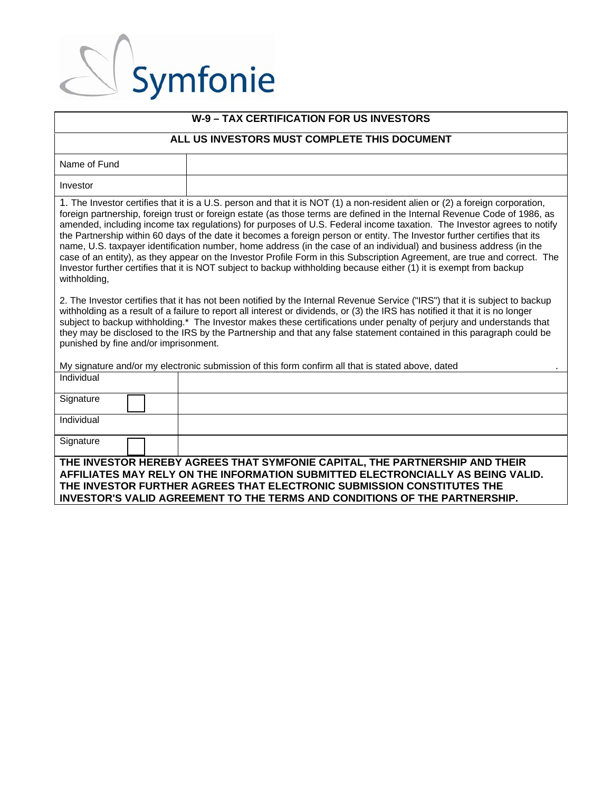| <b>W-9 - TAX CERTIFICATION FOR US INVESTORS</b>                                                                                                                                                                                                                                                                                                                                                                                                                                                                                                                                                                                                                                                                                                                                                                                                                                                             |                                                                                                                                                                                                                                                                                                                               |  |  |  |
|-------------------------------------------------------------------------------------------------------------------------------------------------------------------------------------------------------------------------------------------------------------------------------------------------------------------------------------------------------------------------------------------------------------------------------------------------------------------------------------------------------------------------------------------------------------------------------------------------------------------------------------------------------------------------------------------------------------------------------------------------------------------------------------------------------------------------------------------------------------------------------------------------------------|-------------------------------------------------------------------------------------------------------------------------------------------------------------------------------------------------------------------------------------------------------------------------------------------------------------------------------|--|--|--|
| ALL US INVESTORS MUST COMPLETE THIS DOCUMENT                                                                                                                                                                                                                                                                                                                                                                                                                                                                                                                                                                                                                                                                                                                                                                                                                                                                |                                                                                                                                                                                                                                                                                                                               |  |  |  |
| Name of Fund                                                                                                                                                                                                                                                                                                                                                                                                                                                                                                                                                                                                                                                                                                                                                                                                                                                                                                |                                                                                                                                                                                                                                                                                                                               |  |  |  |
| Investor                                                                                                                                                                                                                                                                                                                                                                                                                                                                                                                                                                                                                                                                                                                                                                                                                                                                                                    |                                                                                                                                                                                                                                                                                                                               |  |  |  |
| 1. The Investor certifies that it is a U.S. person and that it is NOT (1) a non-resident alien or (2) a foreign corporation,<br>foreign partnership, foreign trust or foreign estate (as those terms are defined in the Internal Revenue Code of 1986, as<br>amended, including income tax regulations) for purposes of U.S. Federal income taxation. The Investor agrees to notify<br>the Partnership within 60 days of the date it becomes a foreign person or entity. The Investor further certifies that its<br>name, U.S. taxpayer identification number, home address (in the case of an individual) and business address (in the<br>case of an entity), as they appear on the Investor Profile Form in this Subscription Agreement, are true and correct. The<br>Investor further certifies that it is NOT subject to backup withholding because either (1) it is exempt from backup<br>withholding, |                                                                                                                                                                                                                                                                                                                               |  |  |  |
| 2. The Investor certifies that it has not been notified by the Internal Revenue Service ("IRS") that it is subject to backup<br>withholding as a result of a failure to report all interest or dividends, or (3) the IRS has notified it that it is no longer<br>subject to backup withholding.* The Investor makes these certifications under penalty of perjury and understands that<br>they may be disclosed to the IRS by the Partnership and that any false statement contained in this paragraph could be<br>punished by fine and/or imprisonment.                                                                                                                                                                                                                                                                                                                                                    |                                                                                                                                                                                                                                                                                                                               |  |  |  |
| My signature and/or my electronic submission of this form confirm all that is stated above, dated                                                                                                                                                                                                                                                                                                                                                                                                                                                                                                                                                                                                                                                                                                                                                                                                           |                                                                                                                                                                                                                                                                                                                               |  |  |  |
| Individual                                                                                                                                                                                                                                                                                                                                                                                                                                                                                                                                                                                                                                                                                                                                                                                                                                                                                                  |                                                                                                                                                                                                                                                                                                                               |  |  |  |
| Signature                                                                                                                                                                                                                                                                                                                                                                                                                                                                                                                                                                                                                                                                                                                                                                                                                                                                                                   |                                                                                                                                                                                                                                                                                                                               |  |  |  |
| Individual                                                                                                                                                                                                                                                                                                                                                                                                                                                                                                                                                                                                                                                                                                                                                                                                                                                                                                  |                                                                                                                                                                                                                                                                                                                               |  |  |  |
| Signature                                                                                                                                                                                                                                                                                                                                                                                                                                                                                                                                                                                                                                                                                                                                                                                                                                                                                                   |                                                                                                                                                                                                                                                                                                                               |  |  |  |
|                                                                                                                                                                                                                                                                                                                                                                                                                                                                                                                                                                                                                                                                                                                                                                                                                                                                                                             | THE INVESTOR HEREBY AGREES THAT SYMFONIE CAPITAL, THE PARTNERSHIP AND THEIR<br>AFFILIATES MAY RELY ON THE INFORMATION SUBMITTED ELECTRONCIALLY AS BEING VALID.<br>THE INVESTOR FURTHER AGREES THAT ELECTRONIC SUBMISSION CONSTITUTES THE<br><b>INVESTOR'S VALID AGREEMENT TO THE TERMS AND CONDITIONS OF THE PARTNERSHIP.</b> |  |  |  |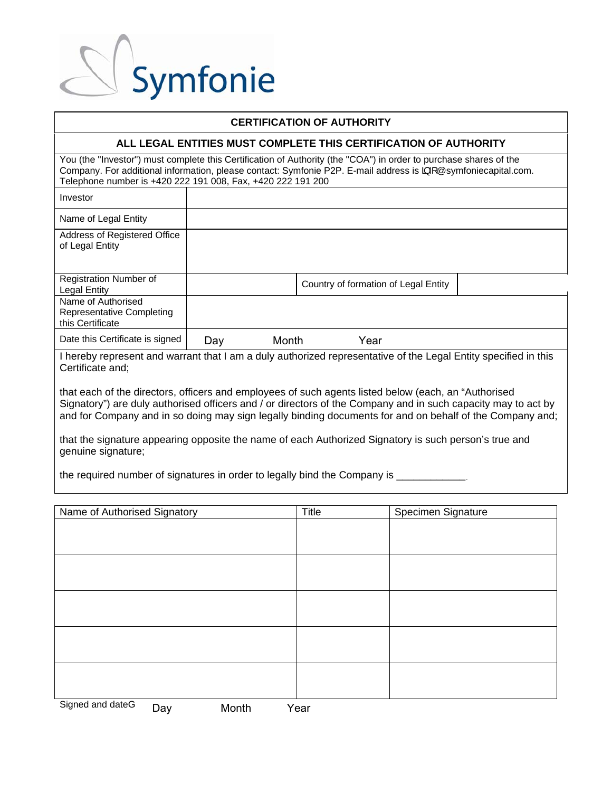

### **CERTIFICATION OF AUTHORITY**

### **ALL LEGAL ENTITIES MUST COMPLETE THIS CERTIFICATION OF AUTHORITY**

You (the "Investor") must complete this Certification of Authority (the "COA") in order to purchase shares of the Company. For additional information, please contact: Symfonie P2P. E-mail address is  $\frac{1}{4}$  @symfoniecapital.com. Telephone number is +420 222 191 008, Fax, +420 222 191 200

| Investor                                                                                                      |     |       |                                      |  |  |
|---------------------------------------------------------------------------------------------------------------|-----|-------|--------------------------------------|--|--|
| Name of Legal Entity                                                                                          |     |       |                                      |  |  |
| Address of Registered Office<br>of Legal Entity                                                               |     |       |                                      |  |  |
| Registration Number of<br><b>Legal Entity</b>                                                                 |     |       | Country of formation of Legal Entity |  |  |
| Name of Authorised<br>Representative Completing<br>this Certificate                                           |     |       |                                      |  |  |
| Date this Certificate is signed                                                                               | Day | Month | Year                                 |  |  |
| I have been an and the search that I am a duly authorized representative of the Logal Futite appelied in this |     |       |                                      |  |  |

I hereby represent and warrant that I am a duly authorized representative of the Legal Entity specified in this Certificate and;

that each of the directors, officers and employees of such agents listed below (each, an "Authorised Signatory") are duly authorised officers and / or directors of the Company and in such capacity may to act by and for Company and in so doing may sign legally binding documents for and on behalf of the Company and;

that the signature appearing opposite the name of each Authorized Signatory is such person's true and genuine signature;

the required number of signatures in order to legally bind the Company is

| Name of Authorised Signatory     | Title | Specimen Signature |
|----------------------------------|-------|--------------------|
|                                  |       |                    |
|                                  |       |                    |
|                                  |       |                    |
|                                  |       |                    |
|                                  |       |                    |
|                                  |       |                    |
|                                  |       |                    |
|                                  |       |                    |
|                                  |       |                    |
|                                  |       |                    |
|                                  |       |                    |
|                                  |       |                    |
|                                  |       |                    |
| Signed and dateå<br>Month<br>Day | Year  |                    |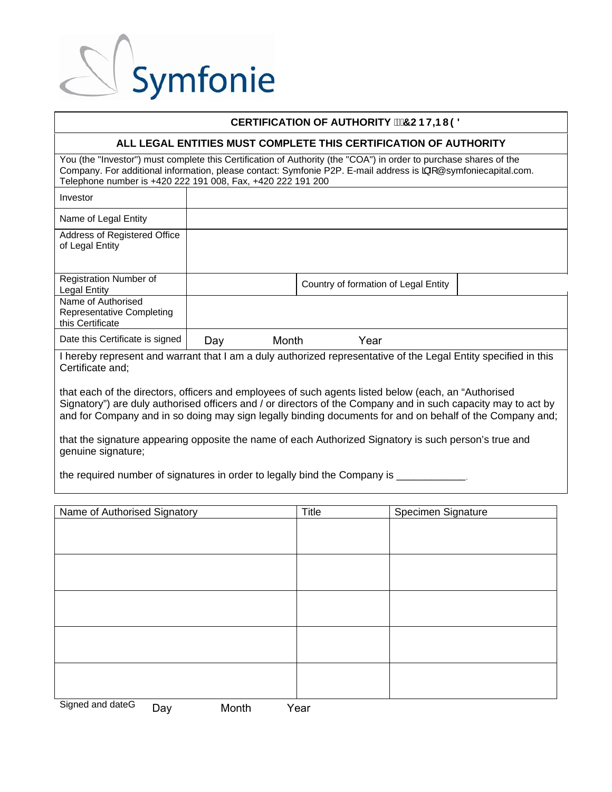

### **CERTIFICATION OF AUTHORITY <b>PERTIFICATION** OF AUTHORITY **P**

### **ALL LEGAL ENTITIES MUST COMPLETE THIS CERTIFICATION OF AUTHORITY**

You (the "Investor") must complete this Certification of Authority (the "COA") in order to purchase shares of the Company. For additional information, please contact: Symfonie P2P. E-mail address is  $\frac{1}{4}$  @symfoniecapital.com. Telephone number is +420 222 191 008, Fax, +420 222 191 200

| Investor                                                                                                       |     |       |                                      |  |  |
|----------------------------------------------------------------------------------------------------------------|-----|-------|--------------------------------------|--|--|
| Name of Legal Entity                                                                                           |     |       |                                      |  |  |
| Address of Registered Office<br>of Legal Entity                                                                |     |       |                                      |  |  |
| Registration Number of<br><b>Legal Entity</b>                                                                  |     |       | Country of formation of Legal Entity |  |  |
| Name of Authorised<br>Representative Completing<br>this Certificate                                            |     |       |                                      |  |  |
| Date this Certificate is signed                                                                                | Day | Month | Year                                 |  |  |
| I haraby represent and werrent that Lam a duly outherized representative of the Lagel Entity epocitied in this |     |       |                                      |  |  |

I hereby represent and warrant that I am a duly authorized representative of the Legal Entity specified in this Certificate and;

that each of the directors, officers and employees of such agents listed below (each, an "Authorised Signatory") are duly authorised officers and / or directors of the Company and in such capacity may to act by and for Company and in so doing may sign legally binding documents for and on behalf of the Company and;

that the signature appearing opposite the name of each Authorized Signatory is such person's true and genuine signature;

the required number of signatures in order to legally bind the Company is

| Name of Authorised Signatory     | Title | Specimen Signature |
|----------------------------------|-------|--------------------|
|                                  |       |                    |
|                                  |       |                    |
|                                  |       |                    |
|                                  |       |                    |
|                                  |       |                    |
|                                  |       |                    |
|                                  |       |                    |
|                                  |       |                    |
|                                  |       |                    |
|                                  |       |                    |
|                                  |       |                    |
|                                  |       |                    |
|                                  |       |                    |
| Signed and dateå<br>Month<br>Day | Year  |                    |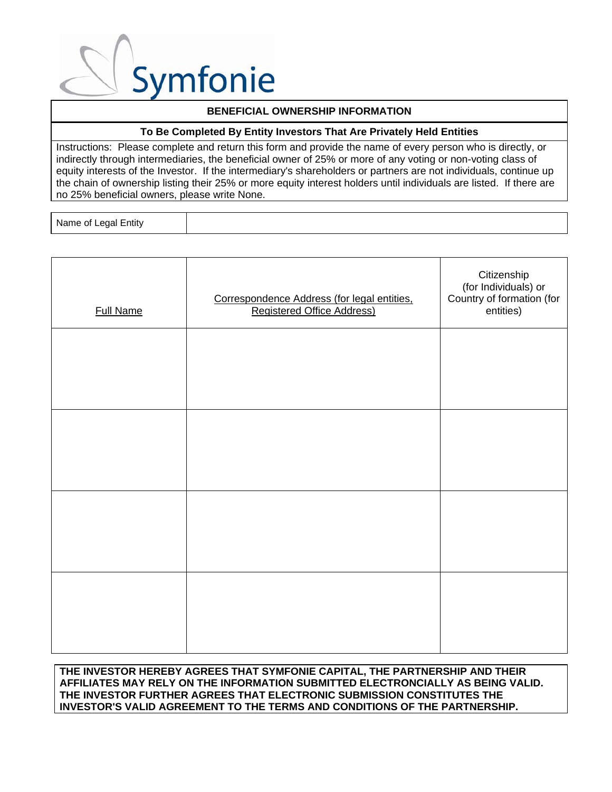

### **BENEFICIAL OWNERSHIP INFORMATION**

### **To Be Completed By Entity Investors That Are Privately Held Entities**

Instructions: Please complete and return this form and provide the name of every person who is directly, or indirectly through intermediaries, the beneficial owner of 25% or more of any voting or non-voting class of equity interests of the Investor. If the intermediary's shareholders or partners are not individuals, continue up the chain of ownership listing their 25% or more equity interest holders until individuals are listed. If there are no 25% beneficial owners, please write None.

Name of Legal Entity

| <b>Full Name</b> | Correspondence Address (for legal entities,<br><b>Registered Office Address)</b> | Citizenship<br>(for Individuals) or<br>Country of formation (for<br>entities) |
|------------------|----------------------------------------------------------------------------------|-------------------------------------------------------------------------------|
|                  |                                                                                  |                                                                               |
|                  |                                                                                  |                                                                               |
|                  |                                                                                  |                                                                               |
|                  |                                                                                  |                                                                               |
|                  |                                                                                  |                                                                               |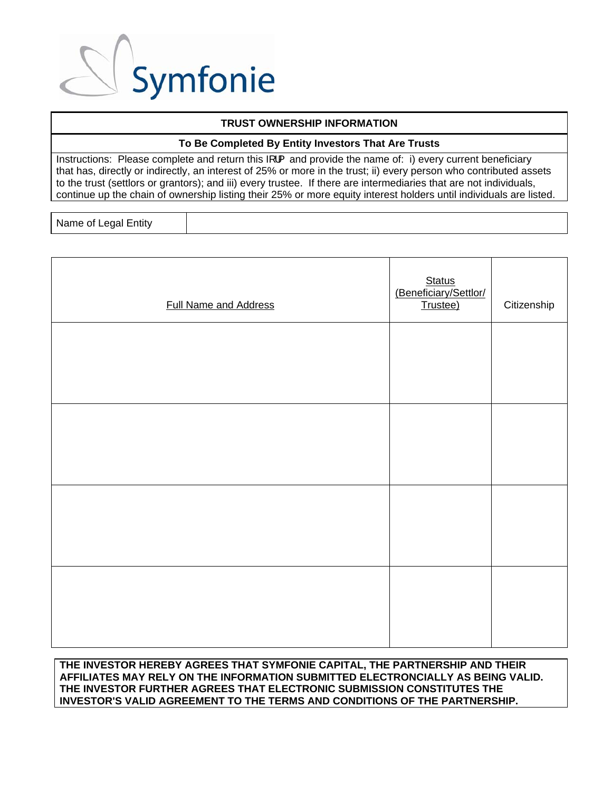

### **TRUST OWNERSHIP INFORMATION**

### **To Be Completed By Entity Investors That Are Trusts**

Instructions: Please complete and return this  $\frac{1}{5}$  and provide the name of: i) every current beneficiary that has, directly or indirectly, an interest of 25% or more in the trust; ii) every person who contributed assets to the trust (settlors or grantors); and iii) every trustee. If there are intermediaries that are not individuals, continue up the chain of ownership listing their 25% or more equity interest holders until individuals are listed.

Name of Legal Entity

| <b>Full Name and Address</b> | Status<br>(Beneficiary/Settlor/<br>Trustee) | Citizenship |
|------------------------------|---------------------------------------------|-------------|
|                              |                                             |             |
|                              |                                             |             |
|                              |                                             |             |
|                              |                                             |             |
|                              |                                             |             |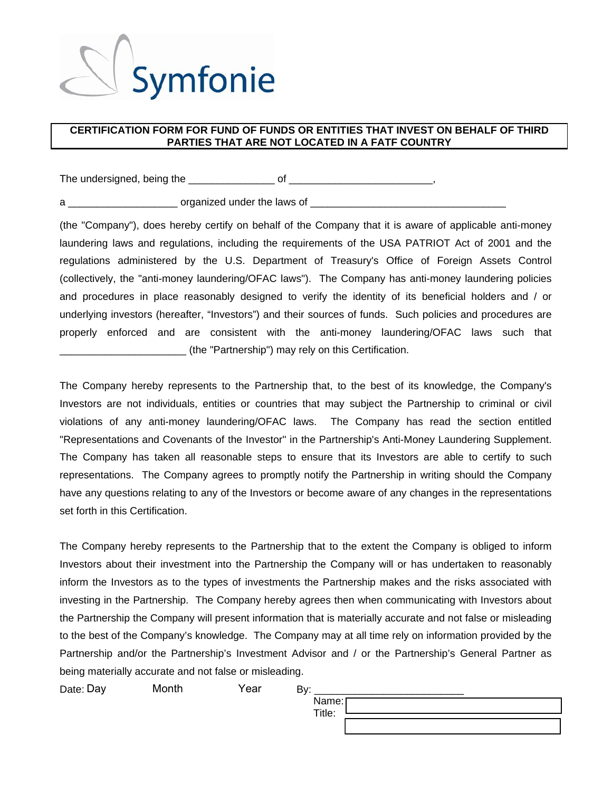

### **CERTIFICATION FORM FOR FUND OF FUNDS OR ENTITIES THAT INVEST ON BEHALF OF THIRD PARTIES THAT ARE NOT LOCATED IN A FATF COUNTRY**

The undersigned, being the example of the state of the state of the state of the state of the state of  $\sim$ 

a \_\_\_\_\_\_\_\_\_\_\_\_\_\_\_\_\_\_\_ organized under the laws of \_\_\_\_\_\_\_\_\_\_\_\_\_\_\_\_\_\_\_\_\_\_\_\_\_\_\_\_\_\_\_\_\_\_

(the "Company"), does hereby certify on behalf of the Company that it is aware of applicable anti-money laundering laws and regulations, including the requirements of the USA PATRIOT Act of 2001 and the regulations administered by the U.S. Department of Treasury's Office of Foreign Assets Control (collectively, the "anti-money laundering/OFAC laws"). The Company has anti-money laundering policies and procedures in place reasonably designed to verify the identity of its beneficial holders and / or underlying investors (hereafter, "Investors") and their sources of funds. Such policies and procedures are properly enforced and are consistent with the anti-money laundering/OFAC laws such that \_\_\_\_\_\_\_\_\_\_\_\_\_\_\_\_\_\_\_\_\_\_ (the "Partnership") may rely on this Certification.

The Company hereby represents to the Partnership that, to the best of its knowledge, the Company's Investors are not individuals, entities or countries that may subject the Partnership to criminal or civil violations of any anti-money laundering/OFAC laws. The Company has read the section entitled "Representations and Covenants of the Investor" in the Partnership's Anti-Money Laundering Supplement. The Company has taken all reasonable steps to ensure that its Investors are able to certify to such representations. The Company agrees to promptly notify the Partnership in writing should the Company have any questions relating to any of the Investors or become aware of any changes in the representations set forth in this Certification.

The Company hereby represents to the Partnership that to the extent the Company is obliged to inform Investors about their investment into the Partnership the Company will or has undertaken to reasonably inform the Investors as to the types of investments the Partnership makes and the risks associated with investing in the Partnership. The Company hereby agrees then when communicating with Investors about the Partnership the Company will present information that is materially accurate and not false or misleading to the best of the Company's knowledge. The Company may at all time rely on information provided by the Partnership and/or the Partnership's Investment Advisor and / or the Partnership's General Partner as being materially accurate and not false or misleading.

Date: Day Month Year By: Name: Title: Month